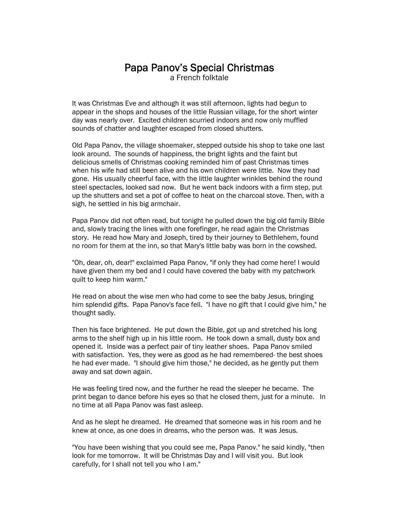## Papa Panov's Special Christmas

a French folktale

It was Christmas Eve and although it was still afternoon, lights had begun to appear in the shops and houses of the little Russian village, for the short winter day was nearly over. Excited children scurried indoors and now only muffled sounds of chatter and laughter escaped from closed shutters.

Old Papa Panov, the village shoemaker, stepped outside his shop to take one last look around. The sounds of happiness, the bright lights and the faint but delicious smells of Christmas cooking reminded him of past Christmas times when his wife had still been alive and his own children were little. Now they had gone. His usually cheerful face, with the little laughter wrinkles behind the round steel spectacles, looked sad now. But he went back indoors with a firm step, put up the shutters and set a pot of coffee to heat on the charcoal stove. Then, with a sigh, he settled in his big armchair.

Papa Panov did not often read, but tonight he pulled down the big old family Bible and, slowly tracing the lines with one forefinger, he read again the Christmas story. He read how Mary and Joseph, tired by their journey to Bethlehem, found no room for them at the inn, so that Mary's little baby was born in the cowshed.

"Oh, dear, oh, dear!" exclaimed Papa Panov, "if only they had come here! I would have given them my bed and I could have covered the baby with my patchwork quilt to keep him warm."

He read on about the wise men who had come to see the baby Jesus, bringing him splendid gifts. Papa Panov's face fell. "I have no gift that I could give him," he thought sadly.

Then his face brightened. He put down the Bible, got up and stretched his long arms to the shelf high up in his little room. He took down a small, dusty box and opened it. Inside was a perfect pair of tiny leather shoes. Papa Panov smiled with satisfaction. Yes, they were as good as he had remembered- the best shoes he had ever made. "I should give him those," he decided, as he gently put them away and sat down again.

He was feeling tired now, and the further he read the sleeper he became. The print began to dance before his eyes so that he closed them, just for a minute. In no time at all Papa Panov was fast asleep.

And as he slept he dreamed. He dreamed that someone was in his room and he knew at once, as one does in dreams, who the person was. It was Jesus.

"You have been wishing that you could see me, Papa Panov." he said kindly, "then look for me tomorrow. It will be Christmas Day and I will visit you. But look carefully, for I shall not tell you who I am."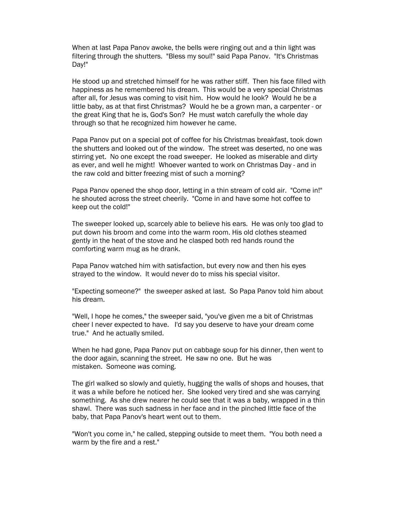When at last Papa Panov awoke, the bells were ringing out and a thin light was filtering through the shutters. "Bless my soul!" said Papa Panov. "It's Christmas Day!"

He stood up and stretched himself for he was rather stiff. Then his face filled with happiness as he remembered his dream. This would be a very special Christmas after all, for Jesus was coming to visit him. How would he look? Would he be a little baby, as at that first Christmas? Would he be a grown man, a carpenter - or the great King that he is, God's Son? He must watch carefully the whole day through so that he recognized him however he came.

Papa Panov put on a special pot of coffee for his Christmas breakfast, took down the shutters and looked out of the window. The street was deserted, no one was stirring yet. No one except the road sweeper. He looked as miserable and dirty as ever, and well he might! Whoever wanted to work on Christmas Day - and in the raw cold and bitter freezing mist of such a morning?

Papa Panov opened the shop door, letting in a thin stream of cold air. "Come in!" he shouted across the street cheerily. "Come in and have some hot coffee to keep out the cold!"

The sweeper looked up, scarcely able to believe his ears. He was only too glad to put down his broom and come into the warm room. His old clothes steamed gently in the heat of the stove and he clasped both red hands round the comforting warm mug as he drank.

Papa Panov watched him with satisfaction, but every now and then his eyes strayed to the window. It would never do to miss his special visitor.

"Expecting someone?" the sweeper asked at last. So Papa Panov told him about his dream.

"Well, I hope he comes," the sweeper said, "you've given me a bit of Christmas cheer I never expected to have. I'd say you deserve to have your dream come true." And he actually smiled.

When he had gone, Papa Panov put on cabbage soup for his dinner, then went to the door again, scanning the street. He saw no one. But he was mistaken. Someone *was* coming.

The girl walked so slowly and quietly, hugging the walls of shops and houses, that it was a while before he noticed her. She looked very tired and she was carrying something. As she drew nearer he could see that it was a baby, wrapped in a thin shawl. There was such sadness in her face and in the pinched little face of the baby, that Papa Panov's heart went out to them.

"Won't you come in," he called, stepping outside to meet them. "You both need a warm by the fire and a rest."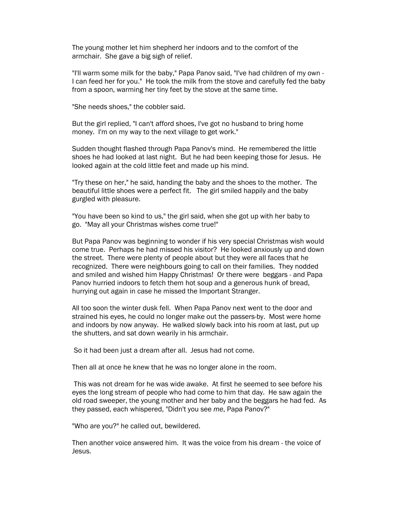The young mother let him shepherd her indoors and to the comfort of the armchair. She gave a big sigh of relief.

"I'll warm some milk for the baby," Papa Panov said, "I've had children of my own - I can feed her for you." He took the milk from the stove and carefully fed the baby from a spoon, warming her tiny feet by the stove at the same time.

"She needs shoes," the cobbler said.

But the girl replied, "I can't afford shoes, I've got no husband to bring home money. I'm on my way to the next village to get work."

Sudden thought flashed through Papa Panov's mind. He remembered the little shoes he had looked at last night. But he had been keeping those for Jesus. He looked again at the cold little feet and made up his mind.

"Try these on her," he said, handing the baby and the shoes to the mother. The beautiful little shoes were a perfect fit. The girl smiled happily and the baby gurgled with pleasure.

"You have been so kind to us," the girl said, when she got up with her baby to go. "May all your Christmas wishes come true!"

But Papa Panov was beginning to wonder if his very special Christmas wish would come true. Perhaps he had missed his visitor? He looked anxiously up and down the street. There were plenty of people about but they were all faces that he recognized. There were neighbours going to call on their families. They nodded and smiled and wished him Happy Christmas! Or there were beggars - and Papa Panov hurried indoors to fetch them hot soup and a generous hunk of bread, hurrying out again in case he missed the Important Stranger.

All too soon the winter dusk fell. When Papa Panov next went to the door and strained his eyes, he could no longer make out the passers-by. Most were home and indoors by now anyway. He walked slowly back into his room at last, put up the shutters, and sat down wearily in his armchair.

So it had been just a dream after all. Jesus had not come.

Then all at once he knew that he was no longer alone in the room.

 This was not dream for he was wide awake. At first he seemed to see before his eyes the long stream of people who had come to him that day. He saw again the old road sweeper, the young mother and her baby and the beggars he had fed. As they passed, each whispered, "Didn't you see *me*, Papa Panov?"

"Who are you?" he called out, bewildered.

Then another voice answered him. It was the voice from his dream - the voice of Jesus.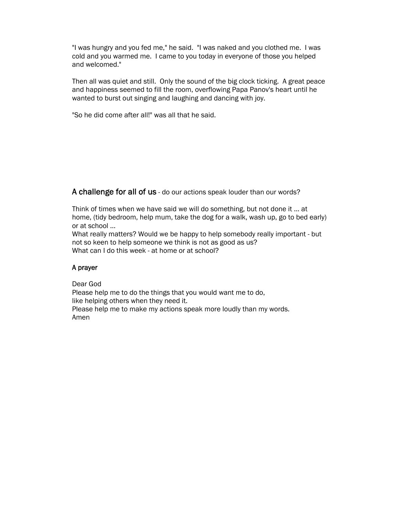"I was hungry and you fed me," he said. "I was naked and you clothed me. I was cold and you warmed me. I came to you today in everyone of those you helped and welcomed."

Then all was quiet and still. Only the sound of the big clock ticking. A great peace and happiness seemed to fill the room, overflowing Papa Panov's heart until he wanted to burst out singing and laughing and dancing with joy.

"So he did come after all!" was all that he said.

A challenge for all of us - do our actions speak louder than our words?

Think of times when we have said we will do something, but not done it … at home, (tidy bedroom, help mum, take the dog for a walk, wash up, go to bed early) or at school …

What really matters? Would we be happy to help somebody really important - but not so keen to help someone we think is not as good as us? What can I do this week - at home or at school?

## A prayer

Dear God Please help me to do the things that you would want me to do, like helping others when they need it. Please help me to make my actions speak more loudly than my words. Amen